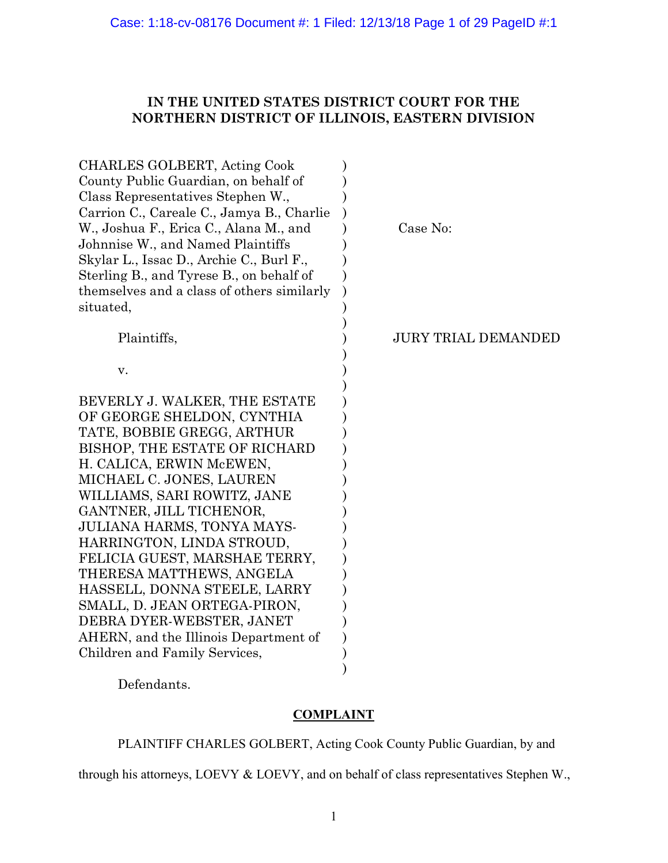# IN THE UNITED STATES DISTRICT COURT FOR THE NORTHERN DISTRICT OF ILLINOIS, EASTERN DIVISION

| CHARLES GOLBERT, Acting Cook<br>County Public Guardian, on behalf of<br>Class Representatives Stephen W.,<br>Carrion C., Careale C., Jamya B., Charlie<br>W., Joshua F., Erica C., Alana M., and<br>Johnnise W., and Named Plaintiffs | Case No:                   |
|---------------------------------------------------------------------------------------------------------------------------------------------------------------------------------------------------------------------------------------|----------------------------|
| Skylar L., Issac D., Archie C., Burl F.,<br>Sterling B., and Tyrese B., on behalf of<br>themselves and a class of others similarly<br>situated,                                                                                       |                            |
| Plaintiffs,                                                                                                                                                                                                                           | <b>JURY TRIAL DEMANDED</b> |
| V.                                                                                                                                                                                                                                    |                            |
| BEVERLY J. WALKER, THE ESTATE                                                                                                                                                                                                         |                            |
| OF GEORGE SHELDON, CYNTHIA                                                                                                                                                                                                            |                            |
| TATE, BOBBIE GREGG, ARTHUR                                                                                                                                                                                                            |                            |
| BISHOP, THE ESTATE OF RICHARD                                                                                                                                                                                                         |                            |
| H. CALICA, ERWIN McEWEN,                                                                                                                                                                                                              |                            |
| MICHAEL C. JONES, LAUREN                                                                                                                                                                                                              |                            |
| WILLIAMS, SARI ROWITZ, JANE                                                                                                                                                                                                           |                            |
| GANTNER, JILL TICHENOR,                                                                                                                                                                                                               |                            |
| JULIANA HARMS, TONYA MAYS-                                                                                                                                                                                                            |                            |
| HARRINGTON, LINDA STROUD,                                                                                                                                                                                                             |                            |
| FELICIA GUEST, MARSHAE TERRY,                                                                                                                                                                                                         |                            |
| THERESA MATTHEWS, ANGELA                                                                                                                                                                                                              |                            |
| HASSELL, DONNA STEELE, LARRY                                                                                                                                                                                                          |                            |
| SMALL, D. JEAN ORTEGA-PIRON,                                                                                                                                                                                                          |                            |
| DEBRA DYER-WEBSTER, JANET                                                                                                                                                                                                             |                            |
| AHERN, and the Illinois Department of                                                                                                                                                                                                 |                            |
| Children and Family Services,                                                                                                                                                                                                         |                            |
|                                                                                                                                                                                                                                       |                            |

Defendants.

# COMPLAINT

PLAINTIFF CHARLES GOLBERT, Acting Cook County Public Guardian, by and

through his attorneys, LOEVY & LOEVY, and on behalf of class representatives Stephen W.,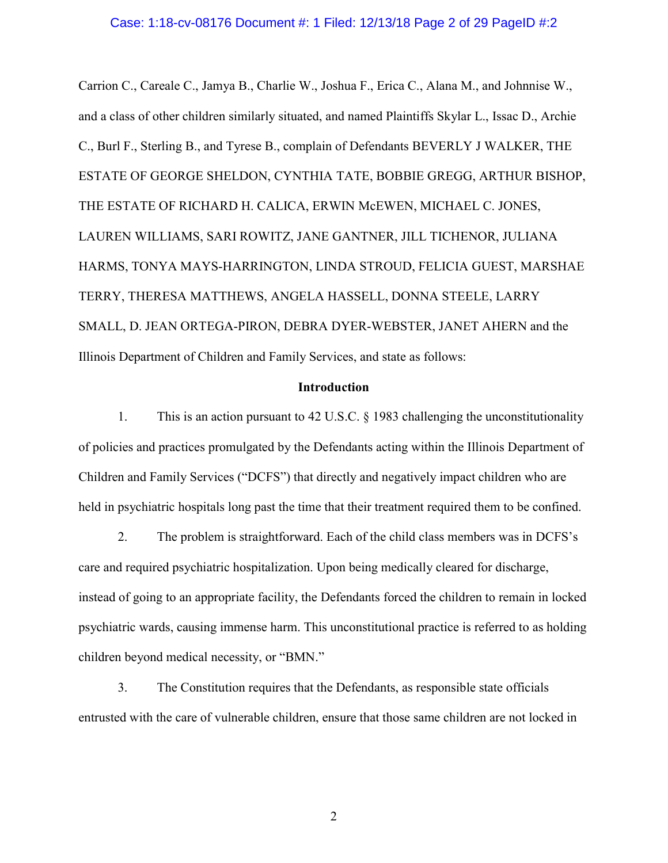## Case: 1:18-cv-08176 Document #: 1 Filed: 12/13/18 Page 2 of 29 PageID #:2

Carrion C., Careale C., Jamya B., Charlie W., Joshua F., Erica C., Alana M., and Johnnise W., and a class of other children similarly situated, and named Plaintiffs Skylar L., Issac D., Archie C., Burl F., Sterling B., and Tyrese B., complain of Defendants BEVERLY J WALKER, THE ESTATE OF GEORGE SHELDON, CYNTHIA TATE, BOBBIE GREGG, ARTHUR BISHOP, THE ESTATE OF RICHARD H. CALICA, ERWIN McEWEN, MICHAEL C. JONES, LAUREN WILLIAMS, SARI ROWITZ, JANE GANTNER, JILL TICHENOR, JULIANA HARMS, TONYA MAYS-HARRINGTON, LINDA STROUD, FELICIA GUEST, MARSHAE TERRY, THERESA MATTHEWS, ANGELA HASSELL, DONNA STEELE, LARRY SMALL, D. JEAN ORTEGA-PIRON, DEBRA DYER-WEBSTER, JANET AHERN and the Illinois Department of Children and Family Services, and state as follows:

## Introduction

1. This is an action pursuant to 42 U.S.C. § 1983 challenging the unconstitutionality of policies and practices promulgated by the Defendants acting within the Illinois Department of Children and Family Services ("DCFS") that directly and negatively impact children who are held in psychiatric hospitals long past the time that their treatment required them to be confined.

2. The problem is straightforward. Each of the child class members was in DCFS's care and required psychiatric hospitalization. Upon being medically cleared for discharge, instead of going to an appropriate facility, the Defendants forced the children to remain in locked psychiatric wards, causing immense harm. This unconstitutional practice is referred to as holding children beyond medical necessity, or "BMN."

3. The Constitution requires that the Defendants, as responsible state officials entrusted with the care of vulnerable children, ensure that those same children are not locked in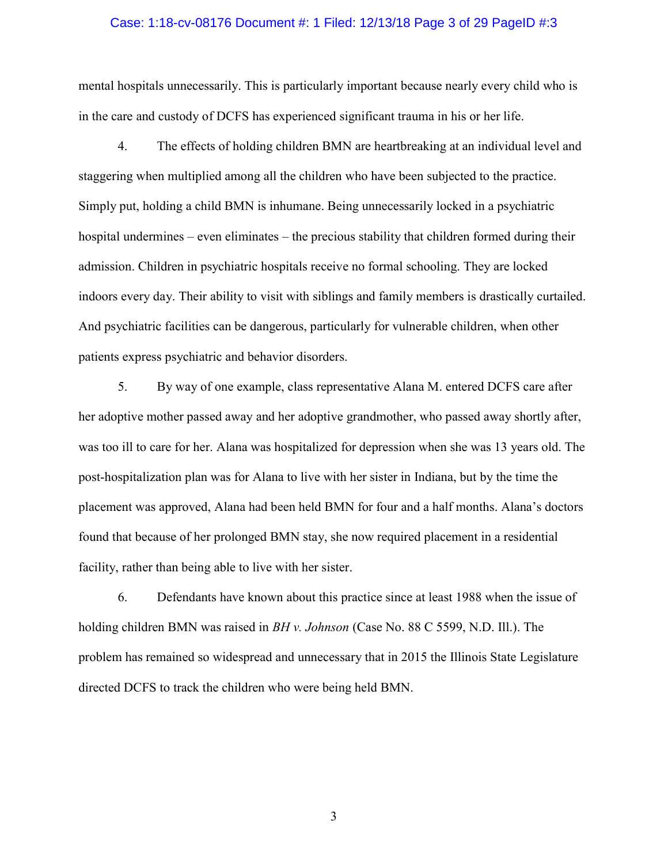#### Case: 1:18-cv-08176 Document #: 1 Filed: 12/13/18 Page 3 of 29 PageID #:3

mental hospitals unnecessarily. This is particularly important because nearly every child who is in the care and custody of DCFS has experienced significant trauma in his or her life.

4. The effects of holding children BMN are heartbreaking at an individual level and staggering when multiplied among all the children who have been subjected to the practice. Simply put, holding a child BMN is inhumane. Being unnecessarily locked in a psychiatric hospital undermines – even eliminates – the precious stability that children formed during their admission. Children in psychiatric hospitals receive no formal schooling. They are locked indoors every day. Their ability to visit with siblings and family members is drastically curtailed. And psychiatric facilities can be dangerous, particularly for vulnerable children, when other patients express psychiatric and behavior disorders.

5. By way of one example, class representative Alana M. entered DCFS care after her adoptive mother passed away and her adoptive grandmother, who passed away shortly after, was too ill to care for her. Alana was hospitalized for depression when she was 13 years old. The post-hospitalization plan was for Alana to live with her sister in Indiana, but by the time the placement was approved, Alana had been held BMN for four and a half months. Alana's doctors found that because of her prolonged BMN stay, she now required placement in a residential facility, rather than being able to live with her sister.

6. Defendants have known about this practice since at least 1988 when the issue of holding children BMN was raised in *BH v. Johnson* (Case No. 88 C 5599, N.D. Ill.). The problem has remained so widespread and unnecessary that in 2015 the Illinois State Legislature directed DCFS to track the children who were being held BMN.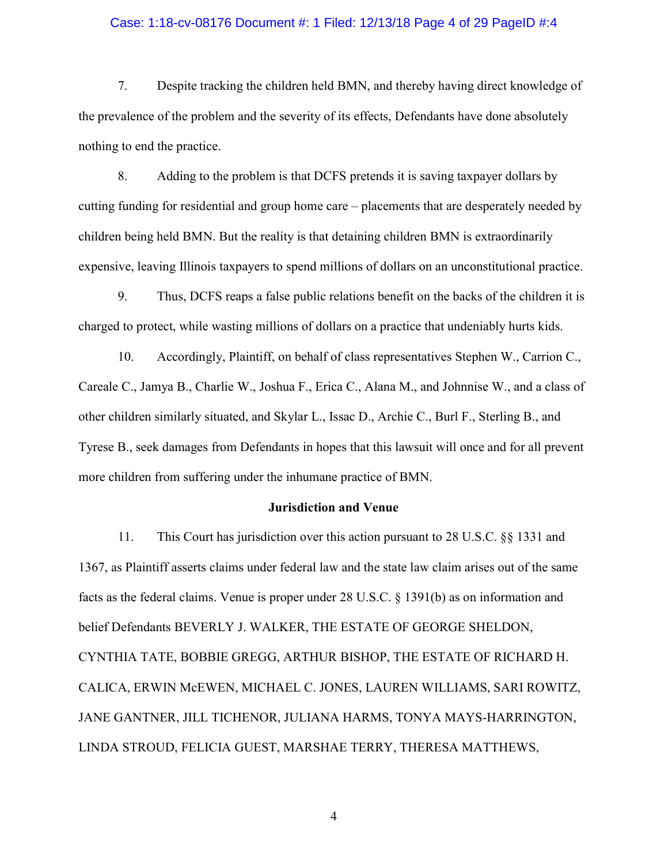## Case: 1:18-cv-08176 Document #: 1 Filed: 12/13/18 Page 4 of 29 PageID #:4

7. Despite tracking the children held BMN, and thereby having direct knowledge of the prevalence of the problem and the severity of its effects, Defendants have done absolutely nothing to end the practice.

8. Adding to the problem is that DCFS pretends it is saving taxpayer dollars by cutting funding for residential and group home care – placements that are desperately needed by children being held BMN. But the reality is that detaining children BMN is extraordinarily expensive, leaving Illinois taxpayers to spend millions of dollars on an unconstitutional practice.

9. Thus, DCFS reaps a false public relations benefit on the backs of the children it is charged to protect, while wasting millions of dollars on a practice that undeniably hurts kids.

10. Accordingly, Plaintiff, on behalf of class representatives Stephen W., Carrion C., Careale C., Jamya B., Charlie W., Joshua F., Erica C., Alana M., and Johnnise W., and a class of other children similarly situated, and Skylar L., Issac D., Archie C., Burl F., Sterling B., and Tyrese B., seek damages from Defendants in hopes that this lawsuit will once and for all prevent more children from suffering under the inhumane practice of BMN.

## Jurisdiction and Venue

11. This Court has jurisdiction over this action pursuant to 28 U.S.C. §§ 1331 and 1367, as Plaintiff asserts claims under federal law and the state law claim arises out of the same facts as the federal claims. Venue is proper under 28 U.S.C. § 1391(b) as on information and belief Defendants BEVERLY J. WALKER, THE ESTATE OF GEORGE SHELDON, CYNTHIA TATE, BOBBIE GREGG, ARTHUR BISHOP, THE ESTATE OF RICHARD H. CALICA, ERWIN McEWEN, MICHAEL C. JONES, LAUREN WILLIAMS, SARI ROWITZ, JANE GANTNER, JILL TICHENOR, JULIANA HARMS, TONYA MAYS-HARRINGTON, LINDA STROUD, FELICIA GUEST, MARSHAE TERRY, THERESA MATTHEWS,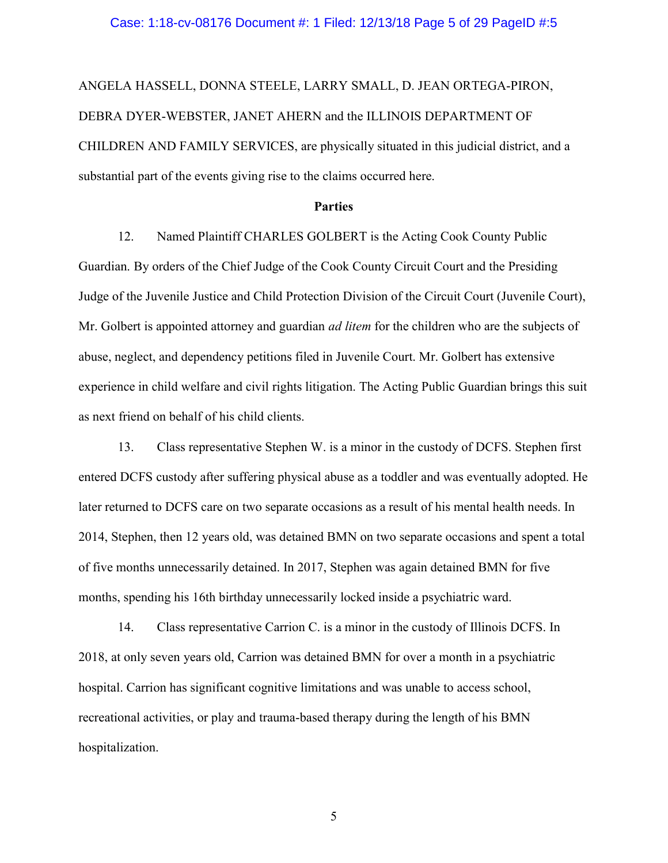ANGELA HASSELL, DONNA STEELE, LARRY SMALL, D. JEAN ORTEGA-PIRON, DEBRA DYER-WEBSTER, JANET AHERN and the ILLINOIS DEPARTMENT OF CHILDREN AND FAMILY SERVICES, are physically situated in this judicial district, and a substantial part of the events giving rise to the claims occurred here.

## Parties

12. Named Plaintiff CHARLES GOLBERT is the Acting Cook County Public Guardian. By orders of the Chief Judge of the Cook County Circuit Court and the Presiding Judge of the Juvenile Justice and Child Protection Division of the Circuit Court (Juvenile Court), Mr. Golbert is appointed attorney and guardian *ad litem* for the children who are the subjects of abuse, neglect, and dependency petitions filed in Juvenile Court. Mr. Golbert has extensive experience in child welfare and civil rights litigation. The Acting Public Guardian brings this suit as next friend on behalf of his child clients.

13. Class representative Stephen W. is a minor in the custody of DCFS. Stephen first entered DCFS custody after suffering physical abuse as a toddler and was eventually adopted. He later returned to DCFS care on two separate occasions as a result of his mental health needs. In 2014, Stephen, then 12 years old, was detained BMN on two separate occasions and spent a total of five months unnecessarily detained. In 2017, Stephen was again detained BMN for five months, spending his 16th birthday unnecessarily locked inside a psychiatric ward.

14. Class representative Carrion C. is a minor in the custody of Illinois DCFS. In 2018, at only seven years old, Carrion was detained BMN for over a month in a psychiatric hospital. Carrion has significant cognitive limitations and was unable to access school, recreational activities, or play and trauma-based therapy during the length of his BMN hospitalization.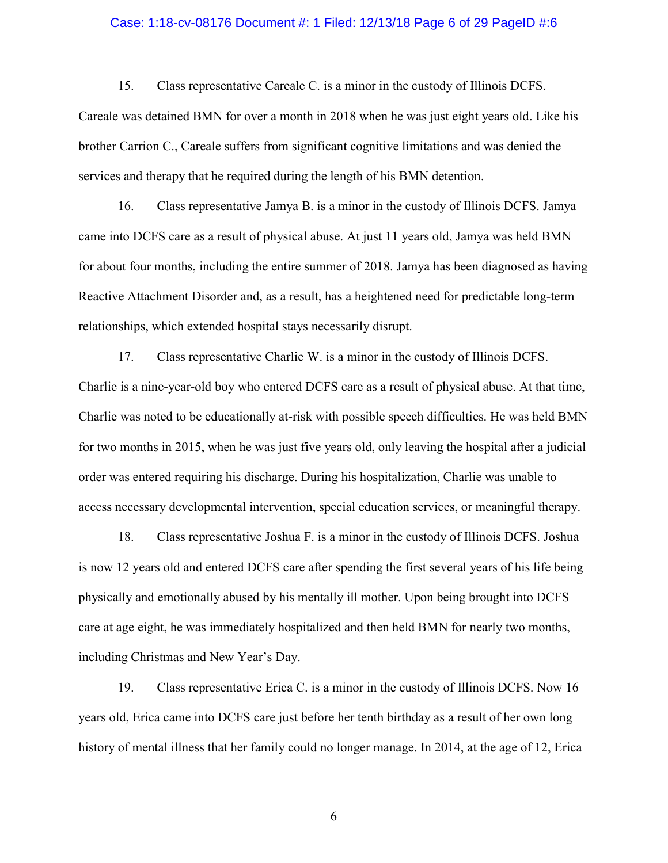## Case: 1:18-cv-08176 Document #: 1 Filed: 12/13/18 Page 6 of 29 PageID #:6

15. Class representative Careale C. is a minor in the custody of Illinois DCFS.

Careale was detained BMN for over a month in 2018 when he was just eight years old. Like his brother Carrion C., Careale suffers from significant cognitive limitations and was denied the services and therapy that he required during the length of his BMN detention.

16. Class representative Jamya B. is a minor in the custody of Illinois DCFS. Jamya came into DCFS care as a result of physical abuse. At just 11 years old, Jamya was held BMN for about four months, including the entire summer of 2018. Jamya has been diagnosed as having Reactive Attachment Disorder and, as a result, has a heightened need for predictable long-term relationships, which extended hospital stays necessarily disrupt.

17. Class representative Charlie W. is a minor in the custody of Illinois DCFS. Charlie is a nine-year-old boy who entered DCFS care as a result of physical abuse. At that time, Charlie was noted to be educationally at-risk with possible speech difficulties. He was held BMN for two months in 2015, when he was just five years old, only leaving the hospital after a judicial order was entered requiring his discharge. During his hospitalization, Charlie was unable to access necessary developmental intervention, special education services, or meaningful therapy.

18. Class representative Joshua F. is a minor in the custody of Illinois DCFS. Joshua is now 12 years old and entered DCFS care after spending the first several years of his life being physically and emotionally abused by his mentally ill mother. Upon being brought into DCFS care at age eight, he was immediately hospitalized and then held BMN for nearly two months, including Christmas and New Year's Day.

19. Class representative Erica C. is a minor in the custody of Illinois DCFS. Now 16 years old, Erica came into DCFS care just before her tenth birthday as a result of her own long history of mental illness that her family could no longer manage. In 2014, at the age of 12, Erica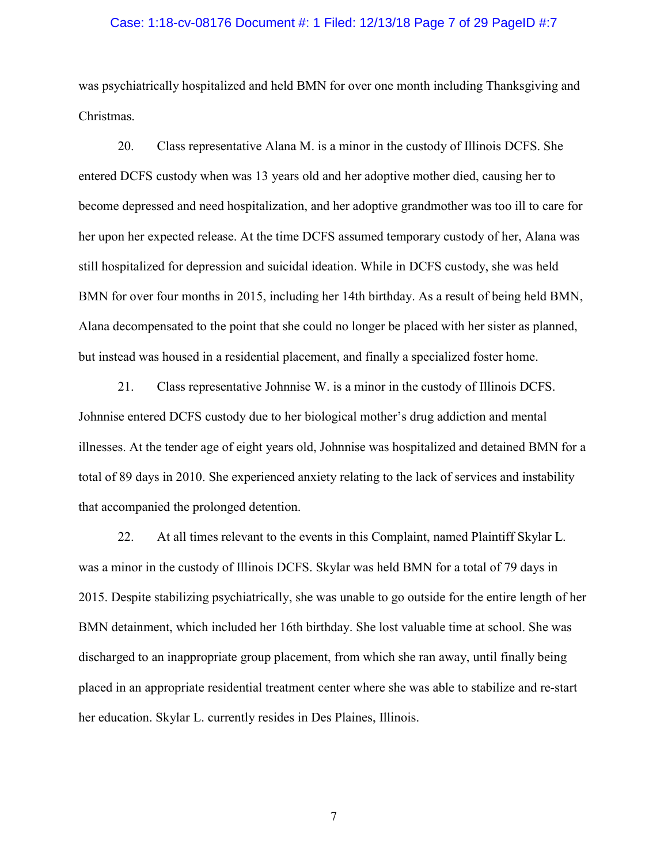## Case: 1:18-cv-08176 Document #: 1 Filed: 12/13/18 Page 7 of 29 PageID #:7

was psychiatrically hospitalized and held BMN for over one month including Thanksgiving and Christmas.

20. Class representative Alana M. is a minor in the custody of Illinois DCFS. She entered DCFS custody when was 13 years old and her adoptive mother died, causing her to become depressed and need hospitalization, and her adoptive grandmother was too ill to care for her upon her expected release. At the time DCFS assumed temporary custody of her, Alana was still hospitalized for depression and suicidal ideation. While in DCFS custody, she was held BMN for over four months in 2015, including her 14th birthday. As a result of being held BMN, Alana decompensated to the point that she could no longer be placed with her sister as planned, but instead was housed in a residential placement, and finally a specialized foster home.

21. Class representative Johnnise W. is a minor in the custody of Illinois DCFS. Johnnise entered DCFS custody due to her biological mother's drug addiction and mental illnesses. At the tender age of eight years old, Johnnise was hospitalized and detained BMN for a total of 89 days in 2010. She experienced anxiety relating to the lack of services and instability that accompanied the prolonged detention.

22. At all times relevant to the events in this Complaint, named Plaintiff Skylar L. was a minor in the custody of Illinois DCFS. Skylar was held BMN for a total of 79 days in 2015. Despite stabilizing psychiatrically, she was unable to go outside for the entire length of her BMN detainment, which included her 16th birthday. She lost valuable time at school. She was discharged to an inappropriate group placement, from which she ran away, until finally being placed in an appropriate residential treatment center where she was able to stabilize and re-start her education. Skylar L. currently resides in Des Plaines, Illinois.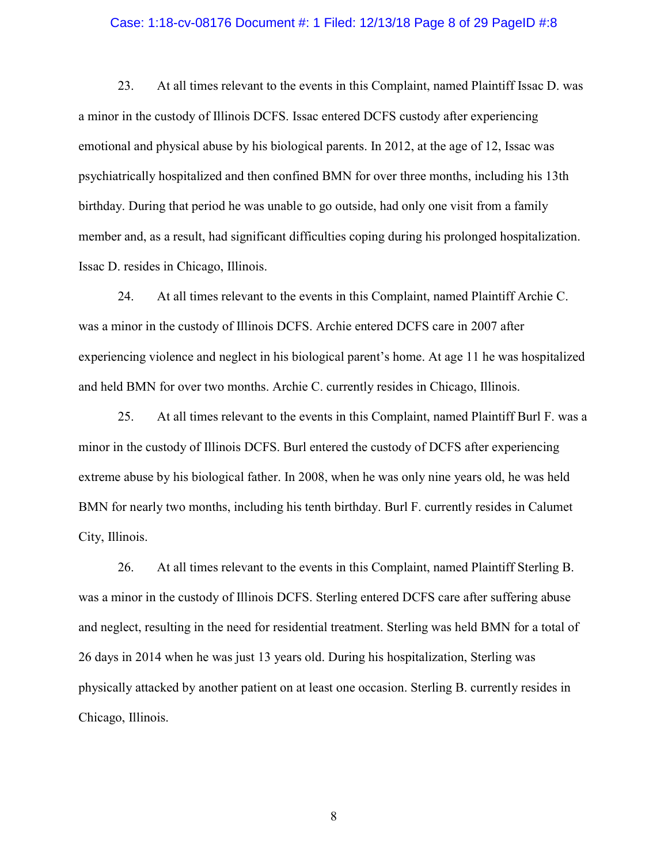### Case: 1:18-cv-08176 Document #: 1 Filed: 12/13/18 Page 8 of 29 PageID #:8

23. At all times relevant to the events in this Complaint, named Plaintiff Issac D. was a minor in the custody of Illinois DCFS. Issac entered DCFS custody after experiencing emotional and physical abuse by his biological parents. In 2012, at the age of 12, Issac was psychiatrically hospitalized and then confined BMN for over three months, including his 13th birthday. During that period he was unable to go outside, had only one visit from a family member and, as a result, had significant difficulties coping during his prolonged hospitalization. Issac D. resides in Chicago, Illinois.

24. At all times relevant to the events in this Complaint, named Plaintiff Archie C. was a minor in the custody of Illinois DCFS. Archie entered DCFS care in 2007 after experiencing violence and neglect in his biological parent's home. At age 11 he was hospitalized and held BMN for over two months. Archie C. currently resides in Chicago, Illinois.

25. At all times relevant to the events in this Complaint, named Plaintiff Burl F. was a minor in the custody of Illinois DCFS. Burl entered the custody of DCFS after experiencing extreme abuse by his biological father. In 2008, when he was only nine years old, he was held BMN for nearly two months, including his tenth birthday. Burl F. currently resides in Calumet City, Illinois.

26. At all times relevant to the events in this Complaint, named Plaintiff Sterling B. was a minor in the custody of Illinois DCFS. Sterling entered DCFS care after suffering abuse and neglect, resulting in the need for residential treatment. Sterling was held BMN for a total of 26 days in 2014 when he was just 13 years old. During his hospitalization, Sterling was physically attacked by another patient on at least one occasion. Sterling B. currently resides in Chicago, Illinois.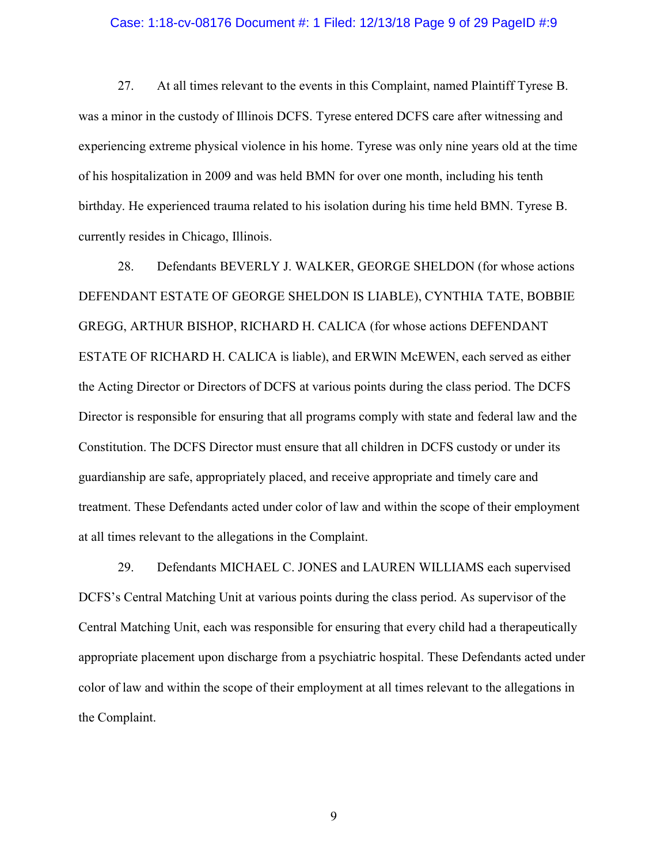#### Case: 1:18-cv-08176 Document #: 1 Filed: 12/13/18 Page 9 of 29 PageID #:9

27. At all times relevant to the events in this Complaint, named Plaintiff Tyrese B. was a minor in the custody of Illinois DCFS. Tyrese entered DCFS care after witnessing and experiencing extreme physical violence in his home. Tyrese was only nine years old at the time of his hospitalization in 2009 and was held BMN for over one month, including his tenth birthday. He experienced trauma related to his isolation during his time held BMN. Tyrese B. currently resides in Chicago, Illinois.

28. Defendants BEVERLY J. WALKER, GEORGE SHELDON (for whose actions DEFENDANT ESTATE OF GEORGE SHELDON IS LIABLE), CYNTHIA TATE, BOBBIE GREGG, ARTHUR BISHOP, RICHARD H. CALICA (for whose actions DEFENDANT ESTATE OF RICHARD H. CALICA is liable), and ERWIN McEWEN, each served as either the Acting Director or Directors of DCFS at various points during the class period. The DCFS Director is responsible for ensuring that all programs comply with state and federal law and the Constitution. The DCFS Director must ensure that all children in DCFS custody or under its guardianship are safe, appropriately placed, and receive appropriate and timely care and treatment. These Defendants acted under color of law and within the scope of their employment at all times relevant to the allegations in the Complaint.

29. Defendants MICHAEL C. JONES and LAUREN WILLIAMS each supervised DCFS's Central Matching Unit at various points during the class period. As supervisor of the Central Matching Unit, each was responsible for ensuring that every child had a therapeutically appropriate placement upon discharge from a psychiatric hospital. These Defendants acted under color of law and within the scope of their employment at all times relevant to the allegations in the Complaint.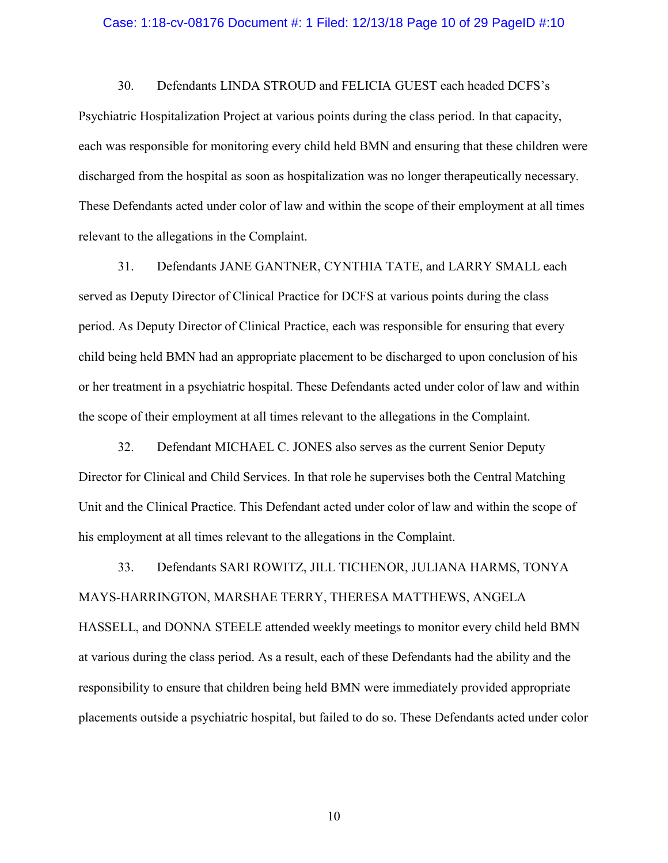#### Case: 1:18-cv-08176 Document #: 1 Filed: 12/13/18 Page 10 of 29 PageID #:10

30. Defendants LINDA STROUD and FELICIA GUEST each headed DCFS's

Psychiatric Hospitalization Project at various points during the class period. In that capacity, each was responsible for monitoring every child held BMN and ensuring that these children were discharged from the hospital as soon as hospitalization was no longer therapeutically necessary. These Defendants acted under color of law and within the scope of their employment at all times relevant to the allegations in the Complaint.

31. Defendants JANE GANTNER, CYNTHIA TATE, and LARRY SMALL each served as Deputy Director of Clinical Practice for DCFS at various points during the class period. As Deputy Director of Clinical Practice, each was responsible for ensuring that every child being held BMN had an appropriate placement to be discharged to upon conclusion of his or her treatment in a psychiatric hospital. These Defendants acted under color of law and within the scope of their employment at all times relevant to the allegations in the Complaint.

32. Defendant MICHAEL C. JONES also serves as the current Senior Deputy Director for Clinical and Child Services. In that role he supervises both the Central Matching Unit and the Clinical Practice. This Defendant acted under color of law and within the scope of his employment at all times relevant to the allegations in the Complaint.

33. Defendants SARI ROWITZ, JILL TICHENOR, JULIANA HARMS, TONYA MAYS-HARRINGTON, MARSHAE TERRY, THERESA MATTHEWS, ANGELA HASSELL, and DONNA STEELE attended weekly meetings to monitor every child held BMN at various during the class period. As a result, each of these Defendants had the ability and the responsibility to ensure that children being held BMN were immediately provided appropriate placements outside a psychiatric hospital, but failed to do so. These Defendants acted under color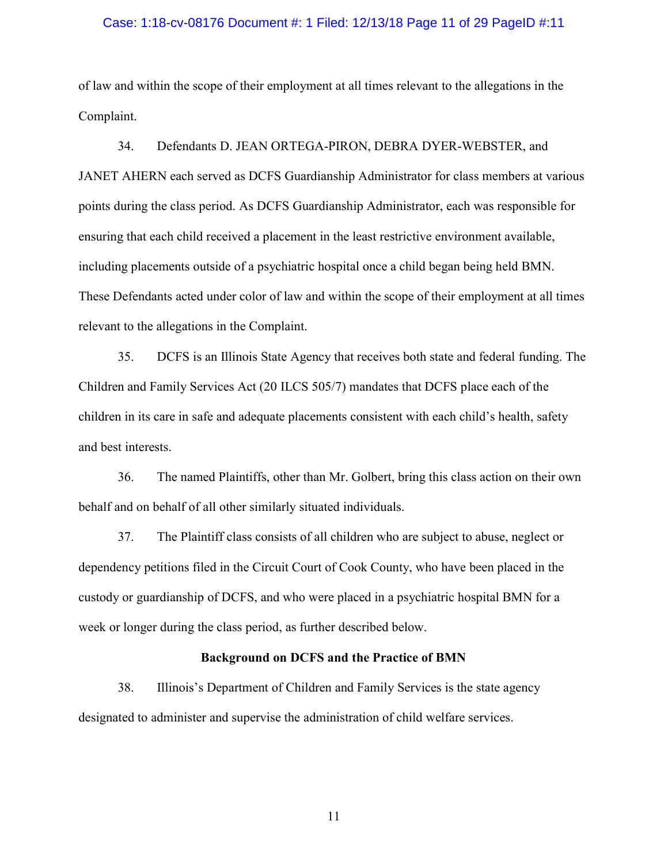#### Case: 1:18-cv-08176 Document #: 1 Filed: 12/13/18 Page 11 of 29 PageID #:11

of law and within the scope of their employment at all times relevant to the allegations in the Complaint.

34. Defendants D. JEAN ORTEGA-PIRON, DEBRA DYER-WEBSTER, and JANET AHERN each served as DCFS Guardianship Administrator for class members at various points during the class period. As DCFS Guardianship Administrator, each was responsible for ensuring that each child received a placement in the least restrictive environment available, including placements outside of a psychiatric hospital once a child began being held BMN. These Defendants acted under color of law and within the scope of their employment at all times relevant to the allegations in the Complaint.

35. DCFS is an Illinois State Agency that receives both state and federal funding. The Children and Family Services Act (20 ILCS 505/7) mandates that DCFS place each of the children in its care in safe and adequate placements consistent with each child's health, safety and best interests.

36. The named Plaintiffs, other than Mr. Golbert, bring this class action on their own behalf and on behalf of all other similarly situated individuals.

37. The Plaintiff class consists of all children who are subject to abuse, neglect or dependency petitions filed in the Circuit Court of Cook County, who have been placed in the custody or guardianship of DCFS, and who were placed in a psychiatric hospital BMN for a week or longer during the class period, as further described below.

## Background on DCFS and the Practice of BMN

38. Illinois's Department of Children and Family Services is the state agency designated to administer and supervise the administration of child welfare services.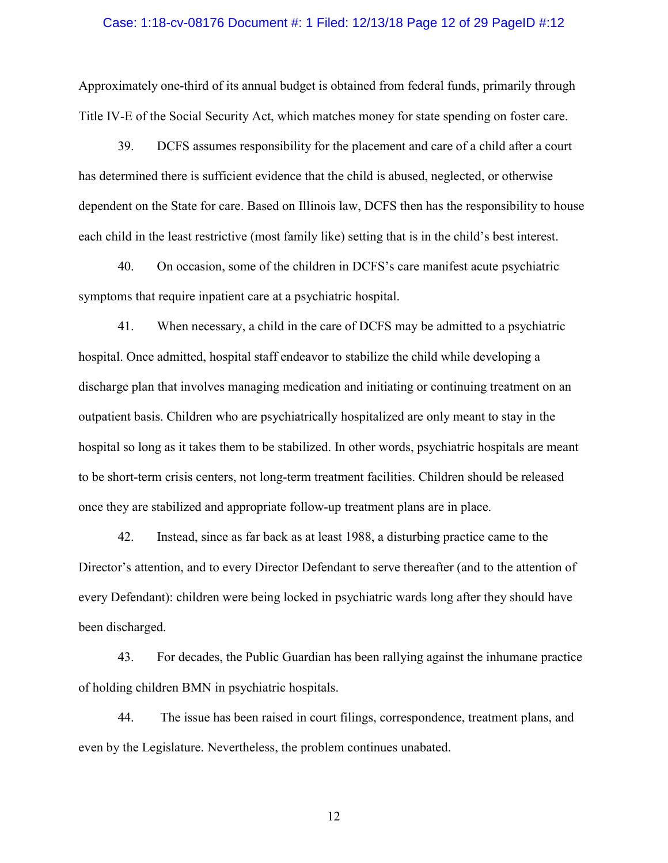#### Case: 1:18-cv-08176 Document #: 1 Filed: 12/13/18 Page 12 of 29 PageID #:12

Approximately one-third of its annual budget is obtained from federal funds, primarily through Title IV-E of the Social Security Act, which matches money for state spending on foster care.

39. DCFS assumes responsibility for the placement and care of a child after a court has determined there is sufficient evidence that the child is abused, neglected, or otherwise dependent on the State for care. Based on Illinois law, DCFS then has the responsibility to house each child in the least restrictive (most family like) setting that is in the child's best interest.

40. On occasion, some of the children in DCFS's care manifest acute psychiatric symptoms that require inpatient care at a psychiatric hospital.

41. When necessary, a child in the care of DCFS may be admitted to a psychiatric hospital. Once admitted, hospital staff endeavor to stabilize the child while developing a discharge plan that involves managing medication and initiating or continuing treatment on an outpatient basis. Children who are psychiatrically hospitalized are only meant to stay in the hospital so long as it takes them to be stabilized. In other words, psychiatric hospitals are meant to be short-term crisis centers, not long-term treatment facilities. Children should be released once they are stabilized and appropriate follow-up treatment plans are in place.

42. Instead, since as far back as at least 1988, a disturbing practice came to the Director's attention, and to every Director Defendant to serve thereafter (and to the attention of every Defendant): children were being locked in psychiatric wards long after they should have been discharged.

43. For decades, the Public Guardian has been rallying against the inhumane practice of holding children BMN in psychiatric hospitals.

44. The issue has been raised in court filings, correspondence, treatment plans, and even by the Legislature. Nevertheless, the problem continues unabated.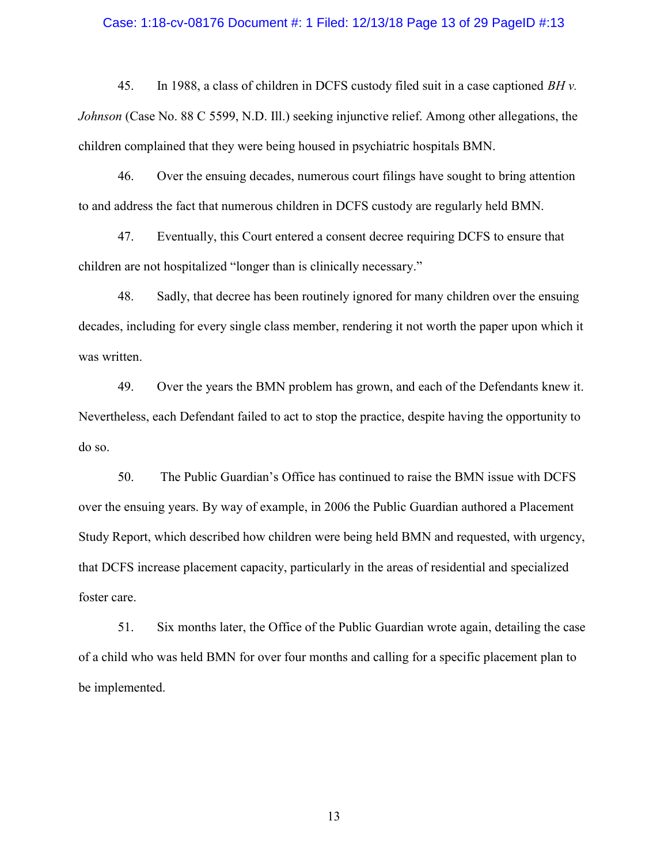#### Case: 1:18-cv-08176 Document #: 1 Filed: 12/13/18 Page 13 of 29 PageID #:13

45. In 1988, a class of children in DCFS custody filed suit in a case captioned  $BHv$ . Johnson (Case No. 88 C 5599, N.D. Ill.) seeking injunctive relief. Among other allegations, the children complained that they were being housed in psychiatric hospitals BMN.

46. Over the ensuing decades, numerous court filings have sought to bring attention to and address the fact that numerous children in DCFS custody are regularly held BMN.

47. Eventually, this Court entered a consent decree requiring DCFS to ensure that children are not hospitalized "longer than is clinically necessary."

48. Sadly, that decree has been routinely ignored for many children over the ensuing decades, including for every single class member, rendering it not worth the paper upon which it was written.

49. Over the years the BMN problem has grown, and each of the Defendants knew it. Nevertheless, each Defendant failed to act to stop the practice, despite having the opportunity to do so.

50. The Public Guardian's Office has continued to raise the BMN issue with DCFS over the ensuing years. By way of example, in 2006 the Public Guardian authored a Placement Study Report, which described how children were being held BMN and requested, with urgency, that DCFS increase placement capacity, particularly in the areas of residential and specialized foster care.

51. Six months later, the Office of the Public Guardian wrote again, detailing the case of a child who was held BMN for over four months and calling for a specific placement plan to be implemented.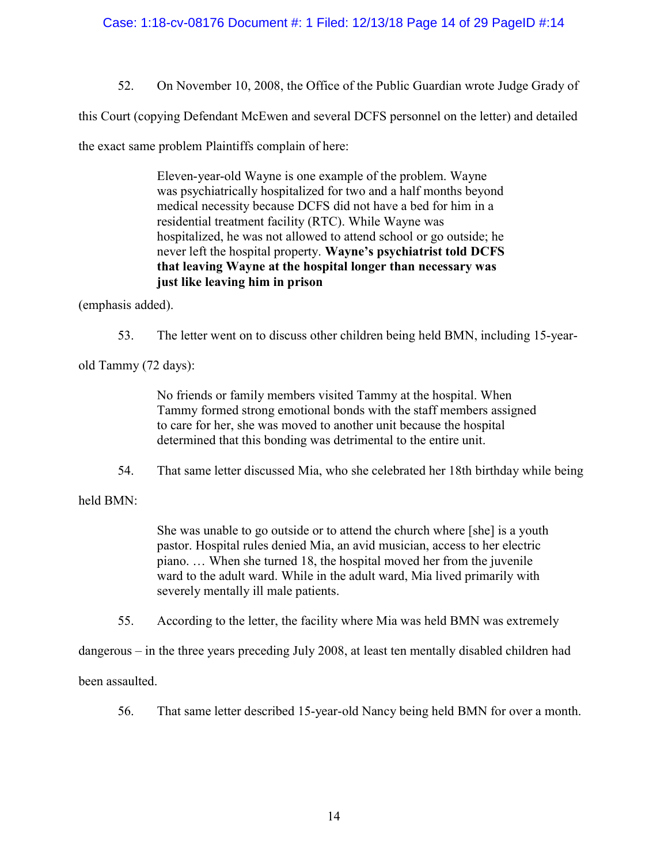## Case: 1:18-cv-08176 Document #: 1 Filed: 12/13/18 Page 14 of 29 PageID #:14

52. On November 10, 2008, the Office of the Public Guardian wrote Judge Grady of

this Court (copying Defendant McEwen and several DCFS personnel on the letter) and detailed

the exact same problem Plaintiffs complain of here:

Eleven-year-old Wayne is one example of the problem. Wayne was psychiatrically hospitalized for two and a half months beyond medical necessity because DCFS did not have a bed for him in a residential treatment facility (RTC). While Wayne was hospitalized, he was not allowed to attend school or go outside; he never left the hospital property. Wayne's psychiatrist told DCFS that leaving Wayne at the hospital longer than necessary was just like leaving him in prison

(emphasis added).

53. The letter went on to discuss other children being held BMN, including 15-year-

old Tammy (72 days):

No friends or family members visited Tammy at the hospital. When Tammy formed strong emotional bonds with the staff members assigned to care for her, she was moved to another unit because the hospital determined that this bonding was detrimental to the entire unit.

54. That same letter discussed Mia, who she celebrated her 18th birthday while being

held BMN:

She was unable to go outside or to attend the church where [she] is a youth pastor. Hospital rules denied Mia, an avid musician, access to her electric piano. … When she turned 18, the hospital moved her from the juvenile ward to the adult ward. While in the adult ward, Mia lived primarily with severely mentally ill male patients.

55. According to the letter, the facility where Mia was held BMN was extremely

dangerous – in the three years preceding July 2008, at least ten mentally disabled children had

been assaulted.

56. That same letter described 15-year-old Nancy being held BMN for over a month.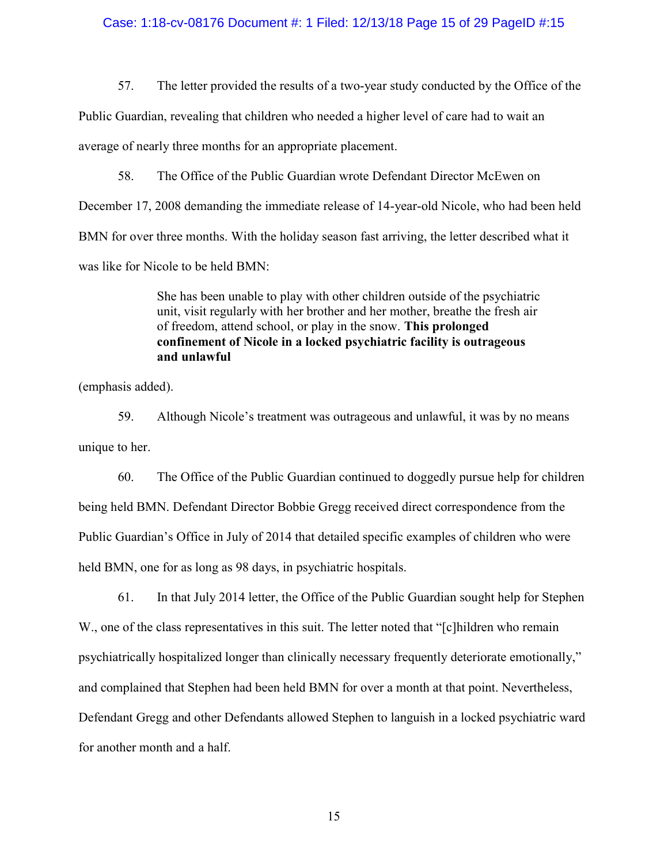#### Case: 1:18-cv-08176 Document #: 1 Filed: 12/13/18 Page 15 of 29 PageID #:15

57. The letter provided the results of a two-year study conducted by the Office of the

Public Guardian, revealing that children who needed a higher level of care had to wait an

average of nearly three months for an appropriate placement.

58. The Office of the Public Guardian wrote Defendant Director McEwen on

December 17, 2008 demanding the immediate release of 14-year-old Nicole, who had been held

BMN for over three months. With the holiday season fast arriving, the letter described what it

was like for Nicole to be held BMN:

She has been unable to play with other children outside of the psychiatric unit, visit regularly with her brother and her mother, breathe the fresh air of freedom, attend school, or play in the snow. This prolonged confinement of Nicole in a locked psychiatric facility is outrageous and unlawful

(emphasis added).

59. Although Nicole's treatment was outrageous and unlawful, it was by no means unique to her.

60. The Office of the Public Guardian continued to doggedly pursue help for children being held BMN. Defendant Director Bobbie Gregg received direct correspondence from the Public Guardian's Office in July of 2014 that detailed specific examples of children who were held BMN, one for as long as 98 days, in psychiatric hospitals.

61. In that July 2014 letter, the Office of the Public Guardian sought help for Stephen W., one of the class representatives in this suit. The letter noted that "[c]hildren who remain psychiatrically hospitalized longer than clinically necessary frequently deteriorate emotionally," and complained that Stephen had been held BMN for over a month at that point. Nevertheless, Defendant Gregg and other Defendants allowed Stephen to languish in a locked psychiatric ward for another month and a half.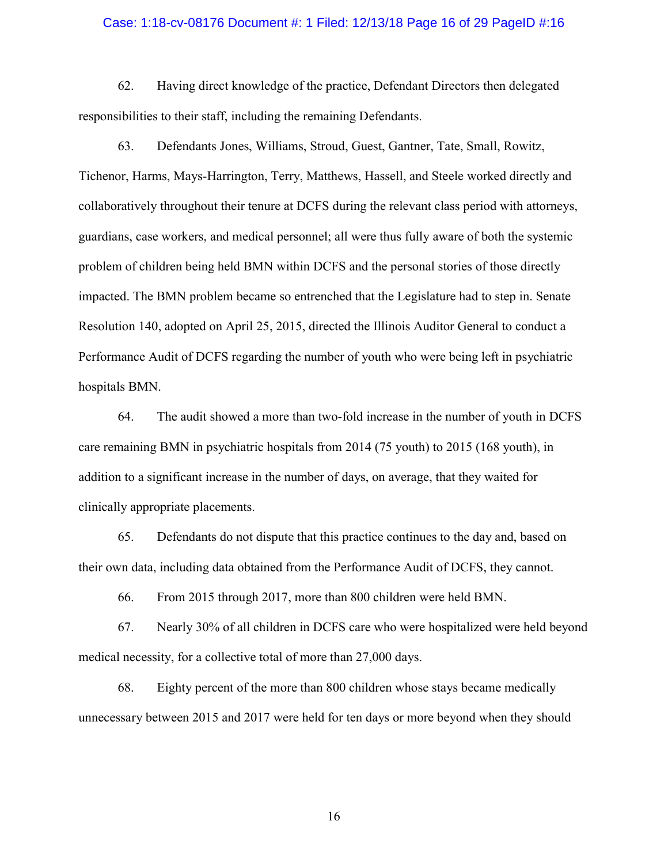#### Case: 1:18-cv-08176 Document #: 1 Filed: 12/13/18 Page 16 of 29 PageID #:16

62. Having direct knowledge of the practice, Defendant Directors then delegated responsibilities to their staff, including the remaining Defendants.

63. Defendants Jones, Williams, Stroud, Guest, Gantner, Tate, Small, Rowitz, Tichenor, Harms, Mays-Harrington, Terry, Matthews, Hassell, and Steele worked directly and collaboratively throughout their tenure at DCFS during the relevant class period with attorneys, guardians, case workers, and medical personnel; all were thus fully aware of both the systemic problem of children being held BMN within DCFS and the personal stories of those directly impacted. The BMN problem became so entrenched that the Legislature had to step in. Senate Resolution 140, adopted on April 25, 2015, directed the Illinois Auditor General to conduct a Performance Audit of DCFS regarding the number of youth who were being left in psychiatric hospitals BMN.

64. The audit showed a more than two-fold increase in the number of youth in DCFS care remaining BMN in psychiatric hospitals from 2014 (75 youth) to 2015 (168 youth), in addition to a significant increase in the number of days, on average, that they waited for clinically appropriate placements.

65. Defendants do not dispute that this practice continues to the day and, based on their own data, including data obtained from the Performance Audit of DCFS, they cannot.

66. From 2015 through 2017, more than 800 children were held BMN.

67. Nearly 30% of all children in DCFS care who were hospitalized were held beyond medical necessity, for a collective total of more than 27,000 days.

68. Eighty percent of the more than 800 children whose stays became medically unnecessary between 2015 and 2017 were held for ten days or more beyond when they should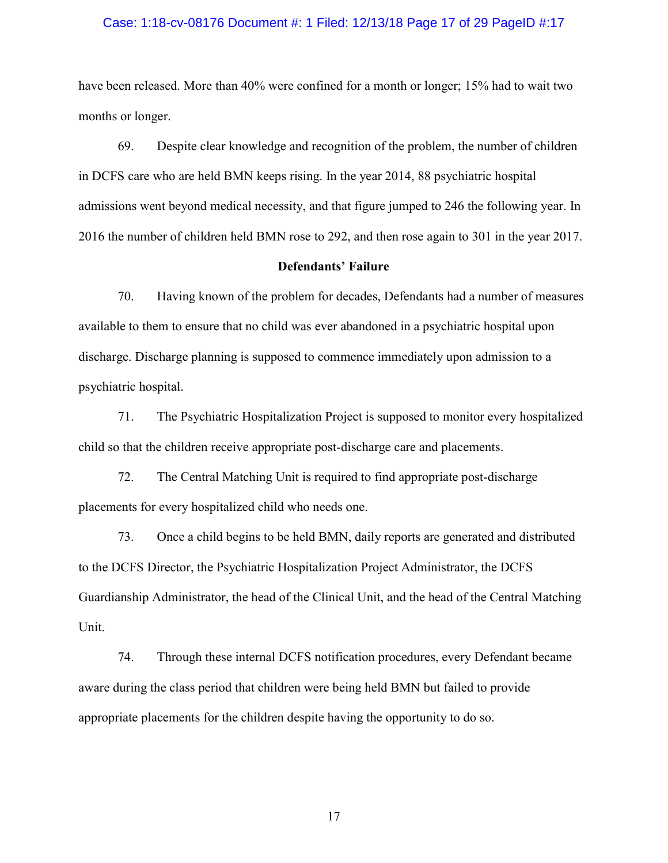#### Case: 1:18-cv-08176 Document #: 1 Filed: 12/13/18 Page 17 of 29 PageID #:17

have been released. More than 40% were confined for a month or longer; 15% had to wait two months or longer.

69. Despite clear knowledge and recognition of the problem, the number of children in DCFS care who are held BMN keeps rising. In the year 2014, 88 psychiatric hospital admissions went beyond medical necessity, and that figure jumped to 246 the following year. In 2016 the number of children held BMN rose to 292, and then rose again to 301 in the year 2017.

## Defendants' Failure

70. Having known of the problem for decades, Defendants had a number of measures available to them to ensure that no child was ever abandoned in a psychiatric hospital upon discharge. Discharge planning is supposed to commence immediately upon admission to a psychiatric hospital.

71. The Psychiatric Hospitalization Project is supposed to monitor every hospitalized child so that the children receive appropriate post-discharge care and placements.

72. The Central Matching Unit is required to find appropriate post-discharge placements for every hospitalized child who needs one.

73. Once a child begins to be held BMN, daily reports are generated and distributed to the DCFS Director, the Psychiatric Hospitalization Project Administrator, the DCFS Guardianship Administrator, the head of the Clinical Unit, and the head of the Central Matching Unit.

74. Through these internal DCFS notification procedures, every Defendant became aware during the class period that children were being held BMN but failed to provide appropriate placements for the children despite having the opportunity to do so.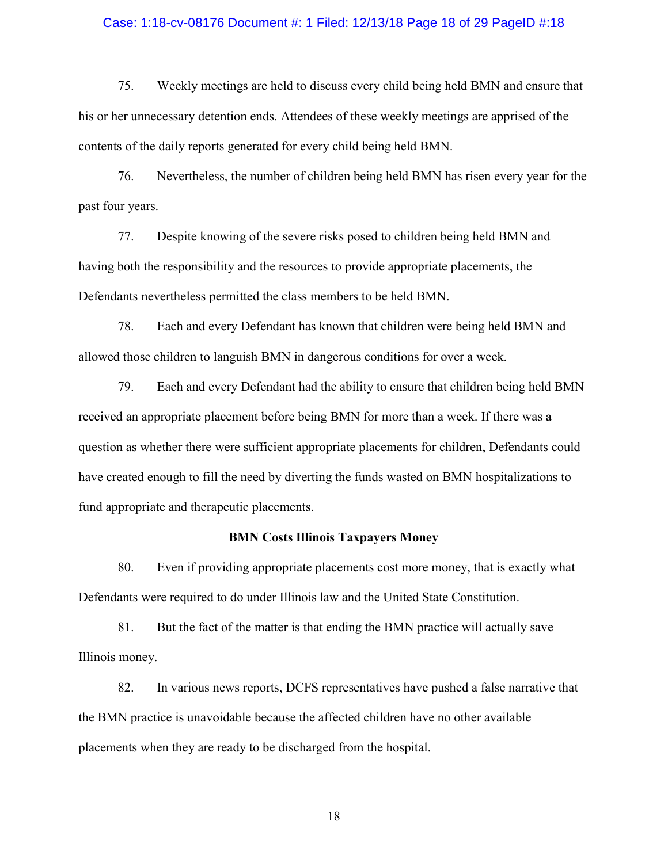#### Case: 1:18-cv-08176 Document #: 1 Filed: 12/13/18 Page 18 of 29 PageID #:18

75. Weekly meetings are held to discuss every child being held BMN and ensure that his or her unnecessary detention ends. Attendees of these weekly meetings are apprised of the contents of the daily reports generated for every child being held BMN.

76. Nevertheless, the number of children being held BMN has risen every year for the past four years.

77. Despite knowing of the severe risks posed to children being held BMN and having both the responsibility and the resources to provide appropriate placements, the Defendants nevertheless permitted the class members to be held BMN.

78. Each and every Defendant has known that children were being held BMN and allowed those children to languish BMN in dangerous conditions for over a week.

79. Each and every Defendant had the ability to ensure that children being held BMN received an appropriate placement before being BMN for more than a week. If there was a question as whether there were sufficient appropriate placements for children, Defendants could have created enough to fill the need by diverting the funds wasted on BMN hospitalizations to fund appropriate and therapeutic placements.

## BMN Costs Illinois Taxpayers Money

80. Even if providing appropriate placements cost more money, that is exactly what Defendants were required to do under Illinois law and the United State Constitution.

81. But the fact of the matter is that ending the BMN practice will actually save Illinois money.

82. In various news reports, DCFS representatives have pushed a false narrative that the BMN practice is unavoidable because the affected children have no other available placements when they are ready to be discharged from the hospital.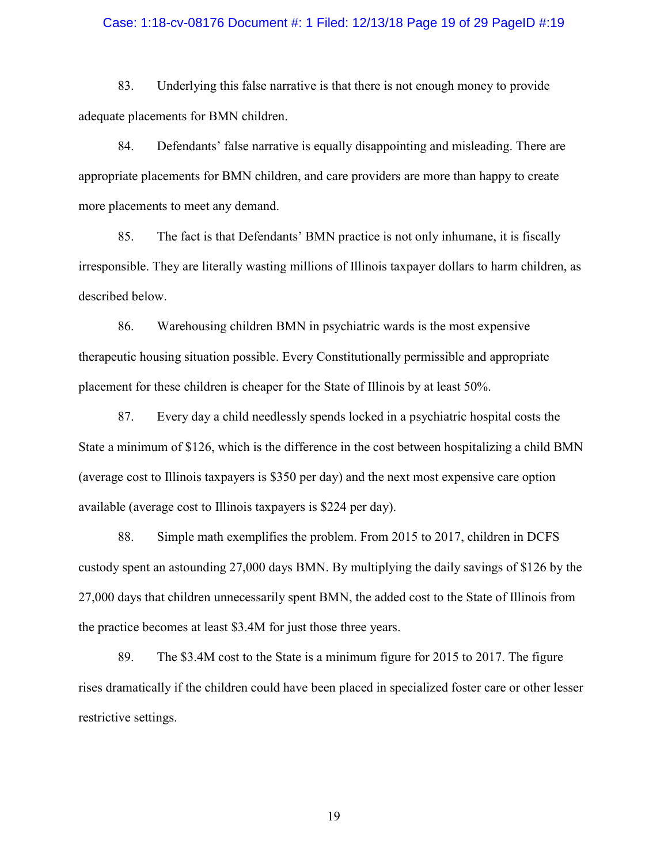#### Case: 1:18-cv-08176 Document #: 1 Filed: 12/13/18 Page 19 of 29 PageID #:19

83. Underlying this false narrative is that there is not enough money to provide adequate placements for BMN children.

84. Defendants' false narrative is equally disappointing and misleading. There are appropriate placements for BMN children, and care providers are more than happy to create more placements to meet any demand.

85. The fact is that Defendants' BMN practice is not only inhumane, it is fiscally irresponsible. They are literally wasting millions of Illinois taxpayer dollars to harm children, as described below.

86. Warehousing children BMN in psychiatric wards is the most expensive therapeutic housing situation possible. Every Constitutionally permissible and appropriate placement for these children is cheaper for the State of Illinois by at least 50%.

87. Every day a child needlessly spends locked in a psychiatric hospital costs the State a minimum of \$126, which is the difference in the cost between hospitalizing a child BMN (average cost to Illinois taxpayers is \$350 per day) and the next most expensive care option available (average cost to Illinois taxpayers is \$224 per day).

88. Simple math exemplifies the problem. From 2015 to 2017, children in DCFS custody spent an astounding 27,000 days BMN. By multiplying the daily savings of \$126 by the 27,000 days that children unnecessarily spent BMN, the added cost to the State of Illinois from the practice becomes at least \$3.4M for just those three years.

89. The \$3.4M cost to the State is a minimum figure for 2015 to 2017. The figure rises dramatically if the children could have been placed in specialized foster care or other lesser restrictive settings.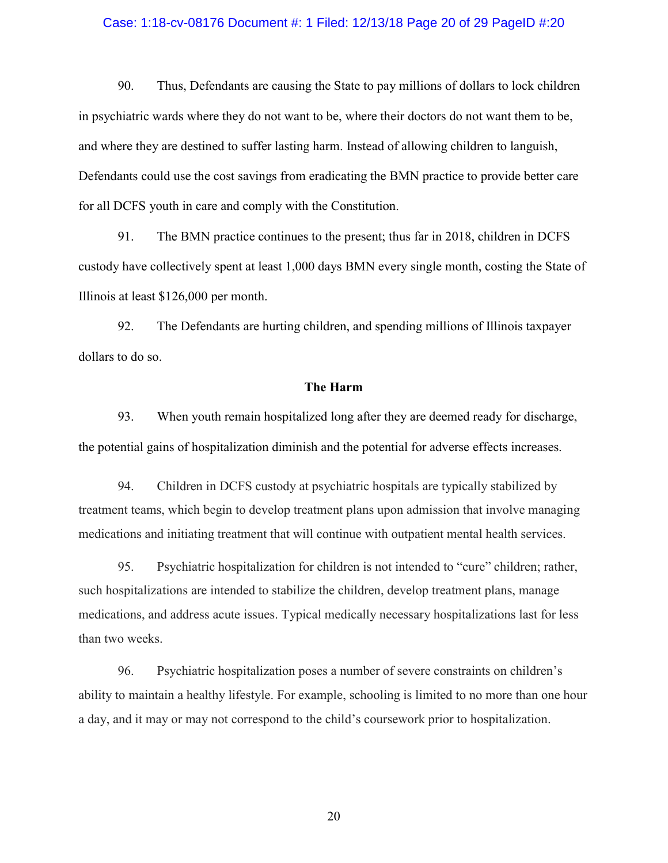### Case: 1:18-cv-08176 Document #: 1 Filed: 12/13/18 Page 20 of 29 PageID #:20

90. Thus, Defendants are causing the State to pay millions of dollars to lock children in psychiatric wards where they do not want to be, where their doctors do not want them to be, and where they are destined to suffer lasting harm. Instead of allowing children to languish, Defendants could use the cost savings from eradicating the BMN practice to provide better care for all DCFS youth in care and comply with the Constitution.

91. The BMN practice continues to the present; thus far in 2018, children in DCFS custody have collectively spent at least 1,000 days BMN every single month, costing the State of Illinois at least \$126,000 per month.

92. The Defendants are hurting children, and spending millions of Illinois taxpayer dollars to do so.

## The Harm

93. When youth remain hospitalized long after they are deemed ready for discharge, the potential gains of hospitalization diminish and the potential for adverse effects increases.

94. Children in DCFS custody at psychiatric hospitals are typically stabilized by treatment teams, which begin to develop treatment plans upon admission that involve managing medications and initiating treatment that will continue with outpatient mental health services.

95. Psychiatric hospitalization for children is not intended to "cure" children; rather, such hospitalizations are intended to stabilize the children, develop treatment plans, manage medications, and address acute issues. Typical medically necessary hospitalizations last for less than two weeks.

96. Psychiatric hospitalization poses a number of severe constraints on children's ability to maintain a healthy lifestyle. For example, schooling is limited to no more than one hour a day, and it may or may not correspond to the child's coursework prior to hospitalization.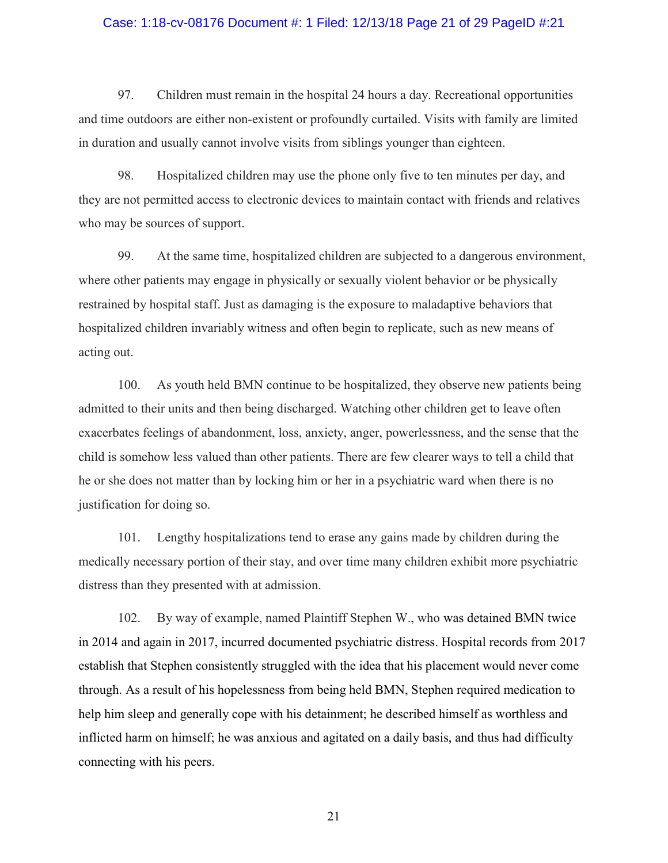### Case: 1:18-cv-08176 Document #: 1 Filed: 12/13/18 Page 21 of 29 PageID #:21

97. Children must remain in the hospital 24 hours a day. Recreational opportunities and time outdoors are either non-existent or profoundly curtailed. Visits with family are limited in duration and usually cannot involve visits from siblings younger than eighteen.

98. Hospitalized children may use the phone only five to ten minutes per day, and they are not permitted access to electronic devices to maintain contact with friends and relatives who may be sources of support.

99. At the same time, hospitalized children are subjected to a dangerous environment, where other patients may engage in physically or sexually violent behavior or be physically restrained by hospital staff. Just as damaging is the exposure to maladaptive behaviors that hospitalized children invariably witness and often begin to replicate, such as new means of acting out.

100. As youth held BMN continue to be hospitalized, they observe new patients being admitted to their units and then being discharged. Watching other children get to leave often exacerbates feelings of abandonment, loss, anxiety, anger, powerlessness, and the sense that the child is somehow less valued than other patients. There are few clearer ways to tell a child that he or she does not matter than by locking him or her in a psychiatric ward when there is no justification for doing so.

101. Lengthy hospitalizations tend to erase any gains made by children during the medically necessary portion of their stay, and over time many children exhibit more psychiatric distress than they presented with at admission.

102. By way of example, named Plaintiff Stephen W., who was detained BMN twice in 2014 and again in 2017, incurred documented psychiatric distress. Hospital records from 2017 establish that Stephen consistently struggled with the idea that his placement would never come through. As a result of his hopelessness from being held BMN, Stephen required medication to help him sleep and generally cope with his detainment; he described himself as worthless and inflicted harm on himself; he was anxious and agitated on a daily basis, and thus had difficulty connecting with his peers.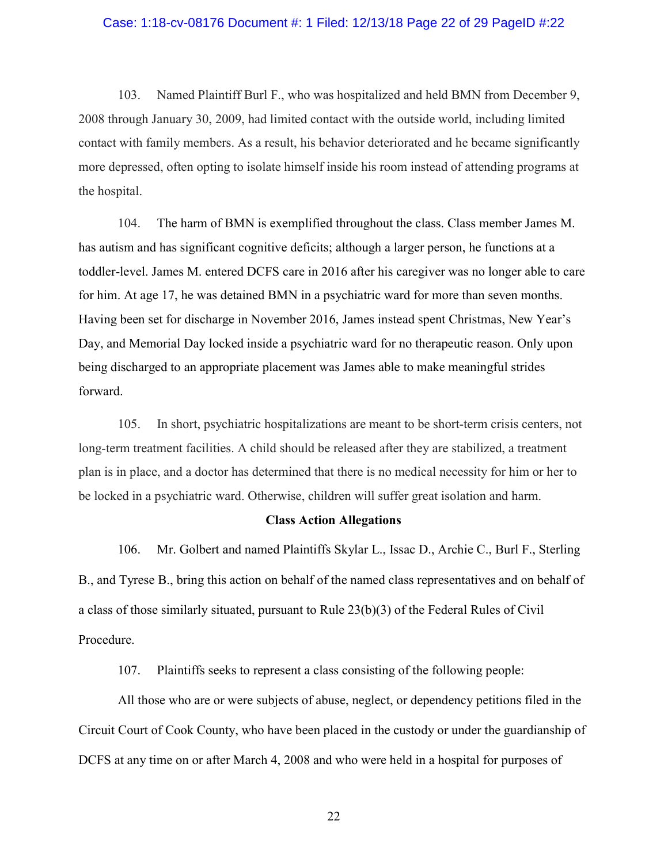#### Case: 1:18-cv-08176 Document #: 1 Filed: 12/13/18 Page 22 of 29 PageID #:22

103. Named Plaintiff Burl F., who was hospitalized and held BMN from December 9, 2008 through January 30, 2009, had limited contact with the outside world, including limited contact with family members. As a result, his behavior deteriorated and he became significantly more depressed, often opting to isolate himself inside his room instead of attending programs at the hospital.

104. The harm of BMN is exemplified throughout the class. Class member James M. has autism and has significant cognitive deficits; although a larger person, he functions at a toddler-level. James M. entered DCFS care in 2016 after his caregiver was no longer able to care for him. At age 17, he was detained BMN in a psychiatric ward for more than seven months. Having been set for discharge in November 2016, James instead spent Christmas, New Year's Day, and Memorial Day locked inside a psychiatric ward for no therapeutic reason. Only upon being discharged to an appropriate placement was James able to make meaningful strides forward.

105. In short, psychiatric hospitalizations are meant to be short-term crisis centers, not long-term treatment facilities. A child should be released after they are stabilized, a treatment plan is in place, and a doctor has determined that there is no medical necessity for him or her to be locked in a psychiatric ward. Otherwise, children will suffer great isolation and harm.

#### Class Action Allegations

106. Mr. Golbert and named Plaintiffs Skylar L., Issac D., Archie C., Burl F., Sterling B., and Tyrese B., bring this action on behalf of the named class representatives and on behalf of a class of those similarly situated, pursuant to Rule 23(b)(3) of the Federal Rules of Civil Procedure.

107. Plaintiffs seeks to represent a class consisting of the following people:

All those who are or were subjects of abuse, neglect, or dependency petitions filed in the Circuit Court of Cook County, who have been placed in the custody or under the guardianship of DCFS at any time on or after March 4, 2008 and who were held in a hospital for purposes of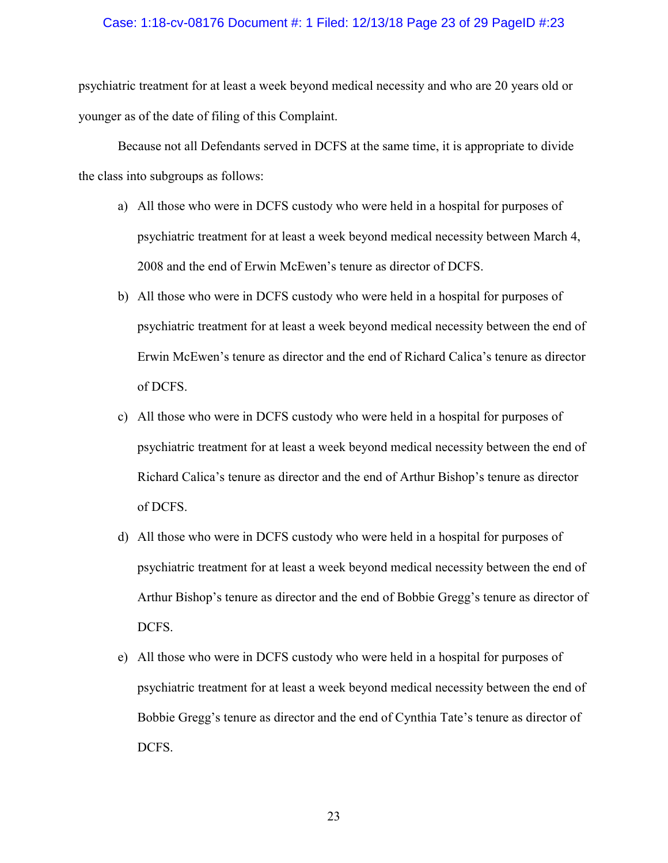#### Case: 1:18-cv-08176 Document #: 1 Filed: 12/13/18 Page 23 of 29 PageID #:23

psychiatric treatment for at least a week beyond medical necessity and who are 20 years old or younger as of the date of filing of this Complaint.

Because not all Defendants served in DCFS at the same time, it is appropriate to divide the class into subgroups as follows:

- a) All those who were in DCFS custody who were held in a hospital for purposes of psychiatric treatment for at least a week beyond medical necessity between March 4, 2008 and the end of Erwin McEwen's tenure as director of DCFS.
- b) All those who were in DCFS custody who were held in a hospital for purposes of psychiatric treatment for at least a week beyond medical necessity between the end of Erwin McEwen's tenure as director and the end of Richard Calica's tenure as director of DCFS.
- c) All those who were in DCFS custody who were held in a hospital for purposes of psychiatric treatment for at least a week beyond medical necessity between the end of Richard Calica's tenure as director and the end of Arthur Bishop's tenure as director of DCFS.
- d) All those who were in DCFS custody who were held in a hospital for purposes of psychiatric treatment for at least a week beyond medical necessity between the end of Arthur Bishop's tenure as director and the end of Bobbie Gregg's tenure as director of DCFS.
- e) All those who were in DCFS custody who were held in a hospital for purposes of psychiatric treatment for at least a week beyond medical necessity between the end of Bobbie Gregg's tenure as director and the end of Cynthia Tate's tenure as director of DCFS.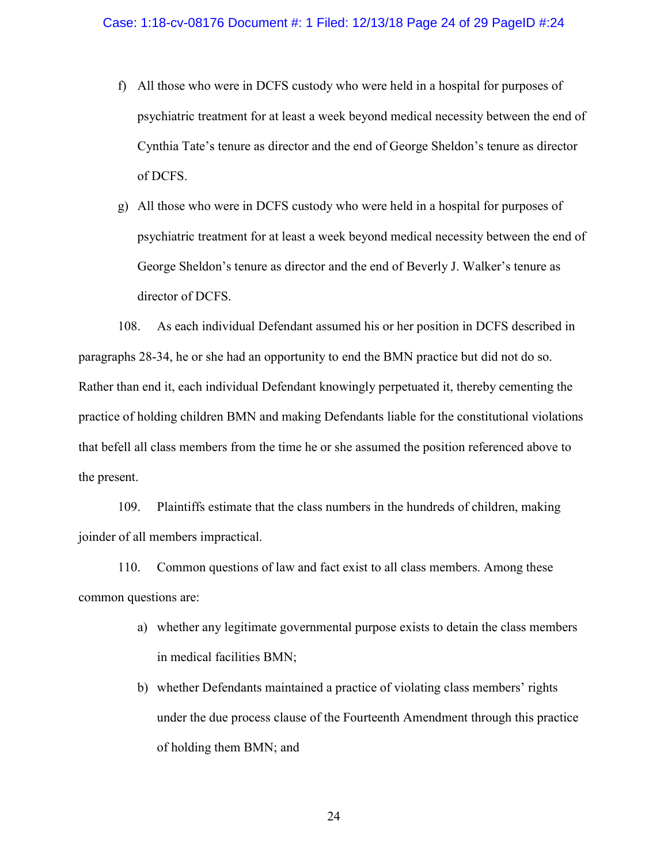- f) All those who were in DCFS custody who were held in a hospital for purposes of psychiatric treatment for at least a week beyond medical necessity between the end of Cynthia Tate's tenure as director and the end of George Sheldon's tenure as director of DCFS.
- g) All those who were in DCFS custody who were held in a hospital for purposes of psychiatric treatment for at least a week beyond medical necessity between the end of George Sheldon's tenure as director and the end of Beverly J. Walker's tenure as director of DCFS.

108. As each individual Defendant assumed his or her position in DCFS described in paragraphs 28-34, he or she had an opportunity to end the BMN practice but did not do so. Rather than end it, each individual Defendant knowingly perpetuated it, thereby cementing the practice of holding children BMN and making Defendants liable for the constitutional violations that befell all class members from the time he or she assumed the position referenced above to the present.

109. Plaintiffs estimate that the class numbers in the hundreds of children, making joinder of all members impractical.

110. Common questions of law and fact exist to all class members. Among these common questions are:

- a) whether any legitimate governmental purpose exists to detain the class members in medical facilities BMN;
- b) whether Defendants maintained a practice of violating class members' rights under the due process clause of the Fourteenth Amendment through this practice of holding them BMN; and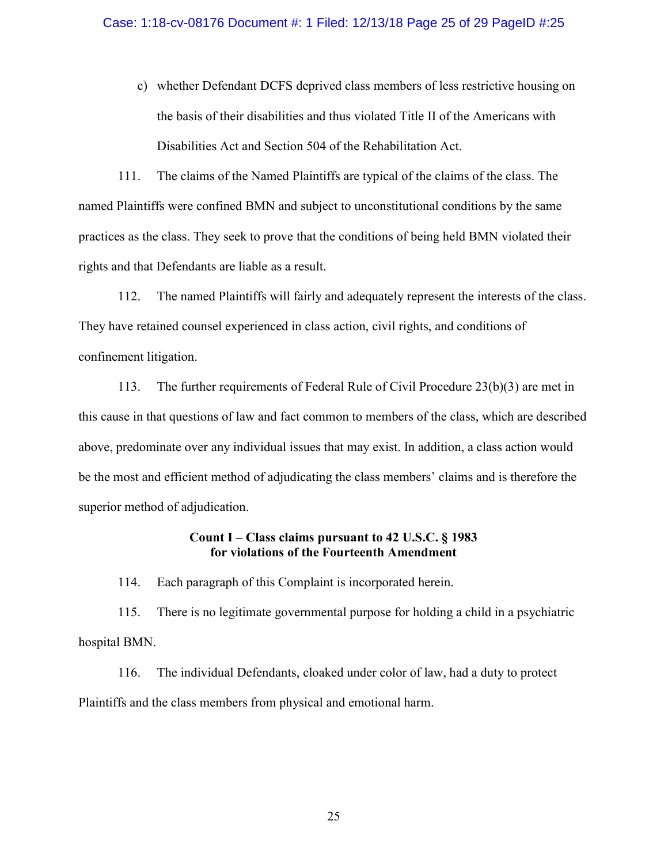c) whether Defendant DCFS deprived class members of less restrictive housing on the basis of their disabilities and thus violated Title II of the Americans with Disabilities Act and Section 504 of the Rehabilitation Act.

111. The claims of the Named Plaintiffs are typical of the claims of the class. The named Plaintiffs were confined BMN and subject to unconstitutional conditions by the same practices as the class. They seek to prove that the conditions of being held BMN violated their rights and that Defendants are liable as a result.

112. The named Plaintiffs will fairly and adequately represent the interests of the class. They have retained counsel experienced in class action, civil rights, and conditions of confinement litigation.

113. The further requirements of Federal Rule of Civil Procedure 23(b)(3) are met in this cause in that questions of law and fact common to members of the class, which are described above, predominate over any individual issues that may exist. In addition, a class action would be the most and efficient method of adjudicating the class members' claims and is therefore the superior method of adjudication.

# Count I – Class claims pursuant to 42 U.S.C. § 1983 for violations of the Fourteenth Amendment

114. Each paragraph of this Complaint is incorporated herein.

115. There is no legitimate governmental purpose for holding a child in a psychiatric hospital BMN.

116. The individual Defendants, cloaked under color of law, had a duty to protect Plaintiffs and the class members from physical and emotional harm.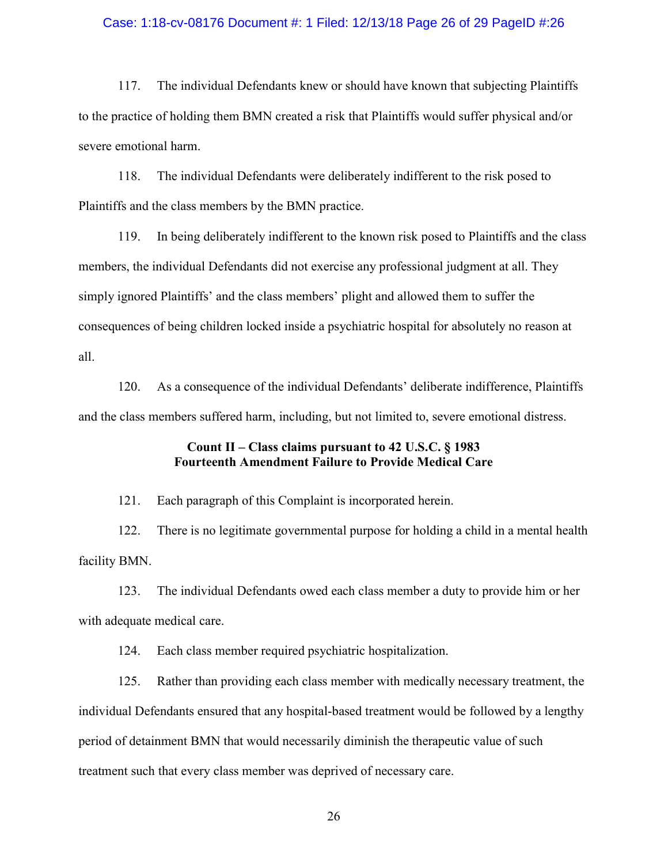#### Case: 1:18-cv-08176 Document #: 1 Filed: 12/13/18 Page 26 of 29 PageID #:26

117. The individual Defendants knew or should have known that subjecting Plaintiffs to the practice of holding them BMN created a risk that Plaintiffs would suffer physical and/or severe emotional harm.

118. The individual Defendants were deliberately indifferent to the risk posed to Plaintiffs and the class members by the BMN practice.

119. In being deliberately indifferent to the known risk posed to Plaintiffs and the class members, the individual Defendants did not exercise any professional judgment at all. They simply ignored Plaintiffs' and the class members' plight and allowed them to suffer the consequences of being children locked inside a psychiatric hospital for absolutely no reason at all.

120. As a consequence of the individual Defendants' deliberate indifference, Plaintiffs and the class members suffered harm, including, but not limited to, severe emotional distress.

# Count II – Class claims pursuant to 42 U.S.C. § 1983 Fourteenth Amendment Failure to Provide Medical Care

121. Each paragraph of this Complaint is incorporated herein.

122. There is no legitimate governmental purpose for holding a child in a mental health facility BMN.

123. The individual Defendants owed each class member a duty to provide him or her with adequate medical care.

124. Each class member required psychiatric hospitalization.

125. Rather than providing each class member with medically necessary treatment, the individual Defendants ensured that any hospital-based treatment would be followed by a lengthy period of detainment BMN that would necessarily diminish the therapeutic value of such treatment such that every class member was deprived of necessary care.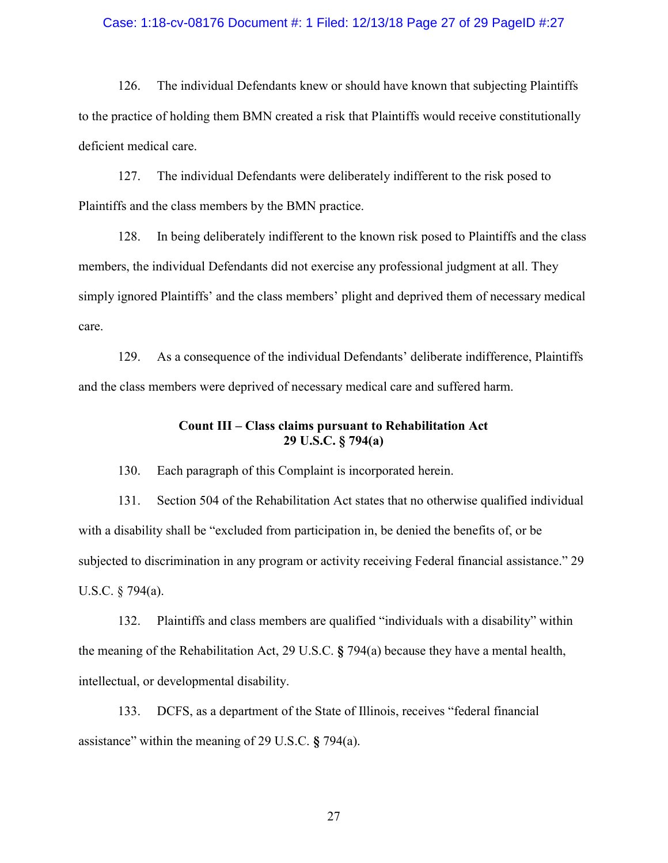#### Case: 1:18-cv-08176 Document #: 1 Filed: 12/13/18 Page 27 of 29 PageID #:27

126. The individual Defendants knew or should have known that subjecting Plaintiffs to the practice of holding them BMN created a risk that Plaintiffs would receive constitutionally deficient medical care.

127. The individual Defendants were deliberately indifferent to the risk posed to Plaintiffs and the class members by the BMN practice.

128. In being deliberately indifferent to the known risk posed to Plaintiffs and the class members, the individual Defendants did not exercise any professional judgment at all. They simply ignored Plaintiffs' and the class members' plight and deprived them of necessary medical care.

129. As a consequence of the individual Defendants' deliberate indifference, Plaintiffs and the class members were deprived of necessary medical care and suffered harm.

## Count III – Class claims pursuant to Rehabilitation Act 29 U.S.C. § 794(a)

130. Each paragraph of this Complaint is incorporated herein.

131. Section 504 of the Rehabilitation Act states that no otherwise qualified individual with a disability shall be "excluded from participation in, be denied the benefits of, or be subjected to discrimination in any program or activity receiving Federal financial assistance." 29 U.S.C. § 794(a).

132. Plaintiffs and class members are qualified "individuals with a disability" within the meaning of the Rehabilitation Act, 29 U.S.C. § 794(a) because they have a mental health, intellectual, or developmental disability.

133. DCFS, as a department of the State of Illinois, receives "federal financial assistance" within the meaning of 29 U.S.C. § 794(a).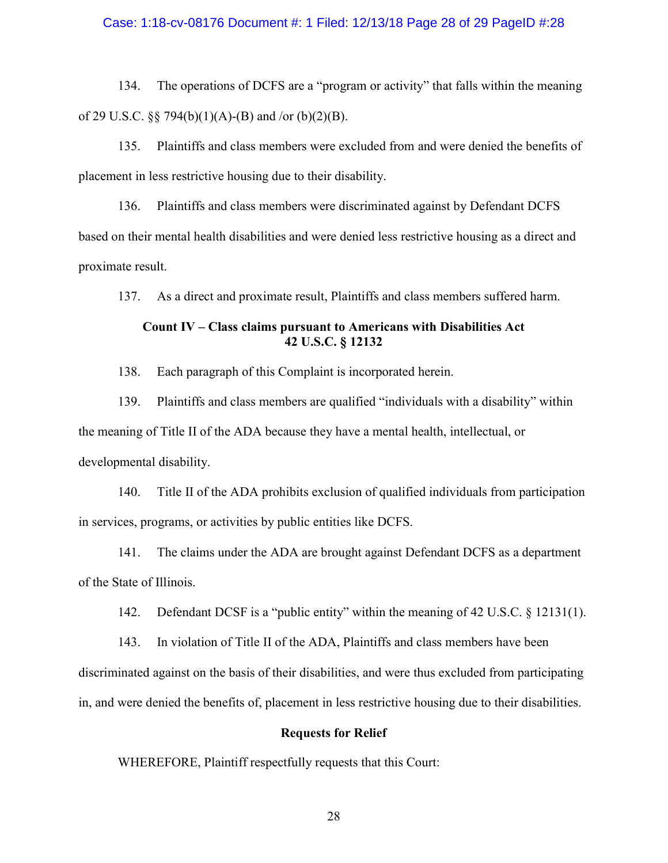## Case: 1:18-cv-08176 Document #: 1 Filed: 12/13/18 Page 28 of 29 PageID #:28

134. The operations of DCFS are a "program or activity" that falls within the meaning of 29 U.S.C.  $\S$   $\frac{5}{94(b)(1)(A)-B}$  and /or (b)(2)(B).

135. Plaintiffs and class members were excluded from and were denied the benefits of placement in less restrictive housing due to their disability.

136. Plaintiffs and class members were discriminated against by Defendant DCFS based on their mental health disabilities and were denied less restrictive housing as a direct and proximate result.

137. As a direct and proximate result, Plaintiffs and class members suffered harm.

# Count IV – Class claims pursuant to Americans with Disabilities Act 42 U.S.C. § 12132

138. Each paragraph of this Complaint is incorporated herein.

139. Plaintiffs and class members are qualified "individuals with a disability" within the meaning of Title II of the ADA because they have a mental health, intellectual, or developmental disability.

140. Title II of the ADA prohibits exclusion of qualified individuals from participation in services, programs, or activities by public entities like DCFS.

141. The claims under the ADA are brought against Defendant DCFS as a department of the State of Illinois.

142. Defendant DCSF is a "public entity" within the meaning of 42 U.S.C. § 12131(1).

143. In violation of Title II of the ADA, Plaintiffs and class members have been discriminated against on the basis of their disabilities, and were thus excluded from participating in, and were denied the benefits of, placement in less restrictive housing due to their disabilities.

## Requests for Relief

WHEREFORE, Plaintiff respectfully requests that this Court: